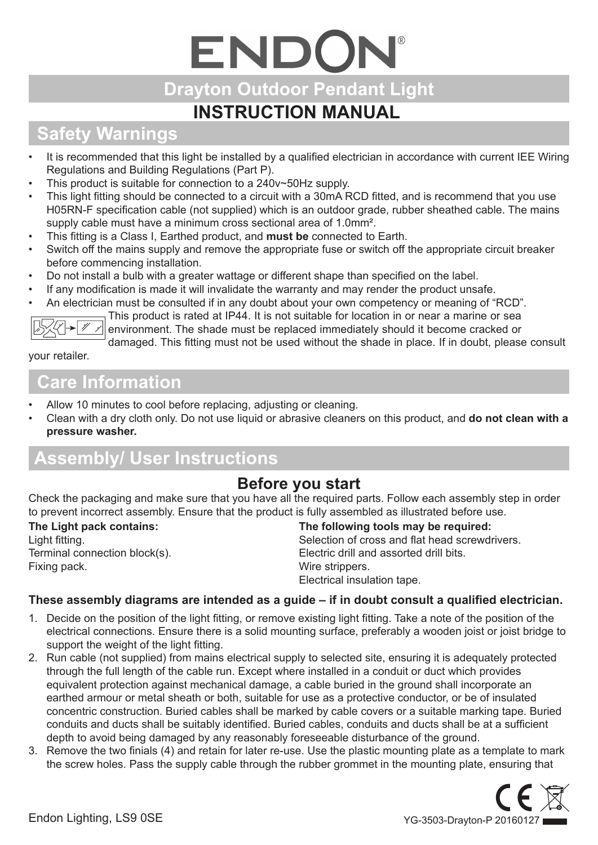# ENDON

## **Drayton Outdoor Pendant Light**

#### **INSTRUCTION MANUAL**

## **Safety Warnings**

- It is recommended that this light be installed by a qualified electrician in accordance with current IEE Wiring Regulations and Building Regulations (Part P).
- This product is suitable for connection to a  $240v-50Hz$  supply.
- This light fitting should be connected to a circuit with a 30mA RCD fitted, and is recommend that you use H05RN-F specification cable (not supplied) which is an outdoor grade, rubber sheathed cable. The mains supply cable must have a minimum cross sectional area of 1.0mm².
- This fitting is a Class I, Earthed product, and **must be** connected to Earth.
- Switch off the mains supply and remove the appropriate fuse or switch off the appropriate circuit breaker before commencing installation.
- Do not install a bulb with a greater wattage or different shape than specified on the label.
- If any modification is made it will invalidate the warranty and may render the product unsafe.
- An electrician must be consulted if in any doubt about your own competency or meaning of "RCD".



This product is rated at IP44. It is not suitable for location in or near a marine or sea  $\mathscr{A}$  environment. The shade must be replaced immediately should it become cracked or

damaged. This fitting must not be used without the shade in place. If in doubt, please consult

#### your retailer.

### **Care Information**

- Allow 10 minutes to cool before replacing, adjusting or cleaning.
- Clean with a dry cloth only. Do not use liquid or abrasive cleaners on this product, and **do not clean with a pressure washer.**

#### **Assembly/ User Instructions**

#### **Before you start**

Check the packaging and make sure that you have all the required parts. Follow each assembly step in order to prevent incorrect assembly. Ensure that the product is fully assembled as illustrated before use.

| The Light pack contains:      | The following tools may be required:           |
|-------------------------------|------------------------------------------------|
| Light fitting.                | Selection of cross and flat head screwdrivers. |
| Terminal connection block(s). | Electric drill and assorted drill bits.        |
| Fixing pack.                  | Wire strippers.                                |
|                               | Electrical insulation tape.                    |

#### **These assembly diagrams are intended as a guide – if in doubt consult a qualified electrician.**

- 1. Decide on the position of the light fitting, or remove existing light fitting. Take a note of the position of the electrical connections. Ensure there is a solid mounting surface, preferably a wooden joist or joist bridge to support the weight of the light fitting.
- 2. Run cable (not supplied) from mains electrical supply to selected site, ensuring it is adequately protected through the full length of the cable run. Except where installed in a conduit or duct which provides equivalent protection against mechanical damage, a cable buried in the ground shall incorporate an earthed armour or metal sheath or both, suitable for use as a protective conductor, or be of insulated concentric construction. Buried cables shall be marked by cable covers or a suitable marking tape. Buried conduits and ducts shall be suitably identified. Buried cables, conduits and ducts shall be at a sufficient depth to avoid being damaged by any reasonably foreseeable disturbance of the ground.
- 3. Remove the two finials (4) and retain for later re-use. Use the plastic mounting plate as a template to mark the screw holes. Pass the supply cable through the rubber grommet in the mounting plate, ensuring that